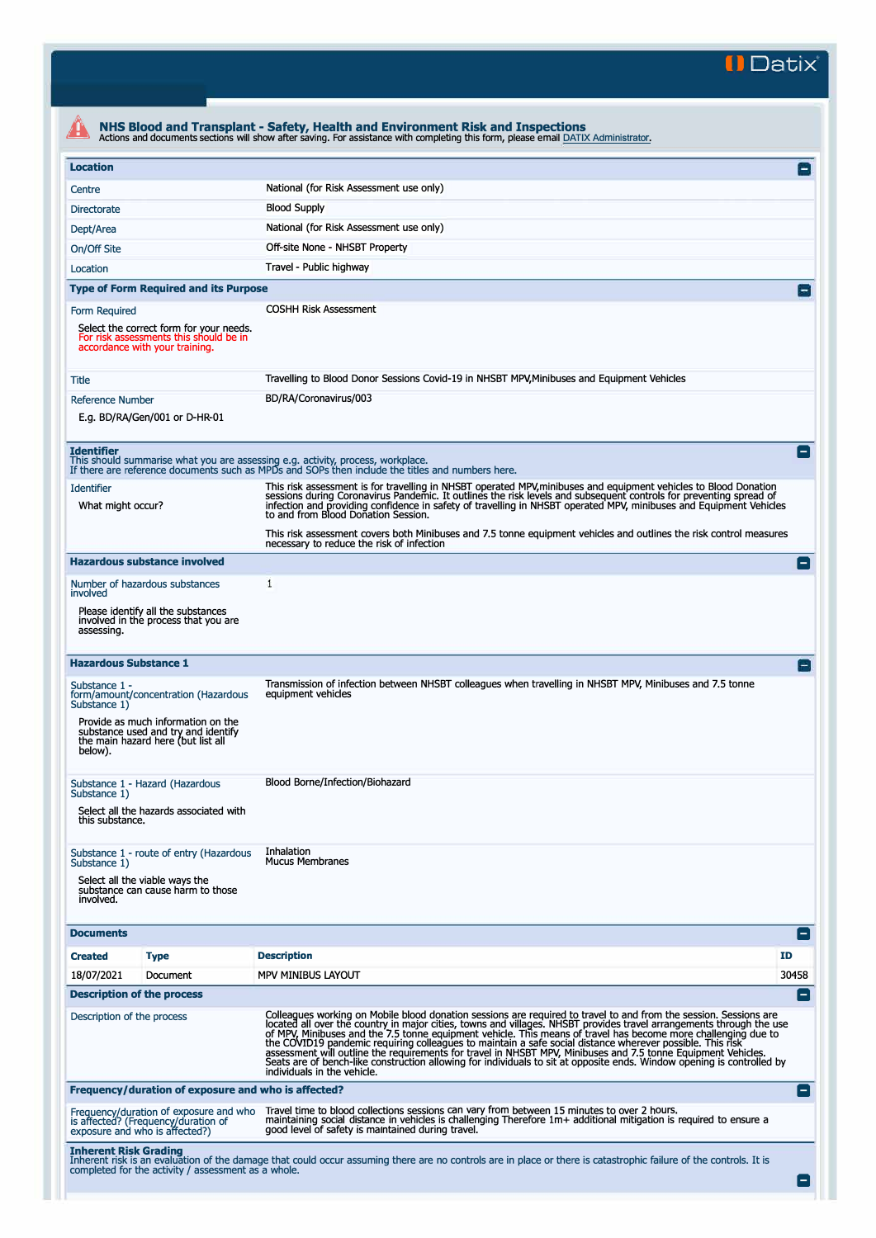**II Datix"** 

|                                                                                                                                             | NHS Blood and Transplant - Safety, Health and Environment Risk and Inspections<br>Actions and documents sections will show after saving. For assistance with completing this form, please email DATIX Administrator.                                                                                                                                                                                                                                                                                                                                                                                                                                                                                                                            |                 |  |  |  |
|---------------------------------------------------------------------------------------------------------------------------------------------|-------------------------------------------------------------------------------------------------------------------------------------------------------------------------------------------------------------------------------------------------------------------------------------------------------------------------------------------------------------------------------------------------------------------------------------------------------------------------------------------------------------------------------------------------------------------------------------------------------------------------------------------------------------------------------------------------------------------------------------------------|-----------------|--|--|--|
| <b>Location</b>                                                                                                                             |                                                                                                                                                                                                                                                                                                                                                                                                                                                                                                                                                                                                                                                                                                                                                 | E               |  |  |  |
| Centre                                                                                                                                      | National (for Risk Assessment use only)                                                                                                                                                                                                                                                                                                                                                                                                                                                                                                                                                                                                                                                                                                         |                 |  |  |  |
| <b>Directorate</b>                                                                                                                          | <b>Blood Supply</b>                                                                                                                                                                                                                                                                                                                                                                                                                                                                                                                                                                                                                                                                                                                             |                 |  |  |  |
| Dept/Area                                                                                                                                   | National (for Risk Assessment use only)                                                                                                                                                                                                                                                                                                                                                                                                                                                                                                                                                                                                                                                                                                         |                 |  |  |  |
| On/Off Site                                                                                                                                 | Off-site None - NHSBT Property                                                                                                                                                                                                                                                                                                                                                                                                                                                                                                                                                                                                                                                                                                                  |                 |  |  |  |
| Location                                                                                                                                    | Travel - Public highway                                                                                                                                                                                                                                                                                                                                                                                                                                                                                                                                                                                                                                                                                                                         |                 |  |  |  |
| <b>Type of Form Required and its Purpose</b>                                                                                                |                                                                                                                                                                                                                                                                                                                                                                                                                                                                                                                                                                                                                                                                                                                                                 | $\vert - \vert$ |  |  |  |
| Form Required                                                                                                                               | <b>COSHH Risk Assessment</b>                                                                                                                                                                                                                                                                                                                                                                                                                                                                                                                                                                                                                                                                                                                    |                 |  |  |  |
| Select the correct form for your needs.<br>For risk assessments this should be in<br>accordance with your training.                         |                                                                                                                                                                                                                                                                                                                                                                                                                                                                                                                                                                                                                                                                                                                                                 |                 |  |  |  |
| Title                                                                                                                                       | Travelling to Blood Donor Sessions Covid-19 in NHSBT MPV, Minibuses and Equipment Vehicles                                                                                                                                                                                                                                                                                                                                                                                                                                                                                                                                                                                                                                                      |                 |  |  |  |
| <b>Reference Number</b>                                                                                                                     | BD/RA/Coronavirus/003                                                                                                                                                                                                                                                                                                                                                                                                                                                                                                                                                                                                                                                                                                                           |                 |  |  |  |
| E.g. BD/RA/Gen/001 or D-HR-01                                                                                                               |                                                                                                                                                                                                                                                                                                                                                                                                                                                                                                                                                                                                                                                                                                                                                 |                 |  |  |  |
| <b>Identifier</b><br>This should summarise what you are assessing e.g. activity, process, workplace.                                        | If there are reference documents such as MPDs and SOPs then include the titles and numbers here.                                                                                                                                                                                                                                                                                                                                                                                                                                                                                                                                                                                                                                                |                 |  |  |  |
| <b>Identifier</b><br>What might occur?                                                                                                      | This risk assessment is for travelling in NHSBT operated MPV,minibuses and equipment vehicles to Blood Donation<br>sessions during Coronavirus Pandemic. It outlines the risk levels and subsequent controls for preventing spread of<br>infection and providing confidence in safety of travelling in NHSBT operated MPV, minibuses and Equipment Vehicles<br>to and from Blood Donation Session.                                                                                                                                                                                                                                                                                                                                              |                 |  |  |  |
|                                                                                                                                             | This risk assessment covers both Minibuses and 7.5 tonne equipment vehicles and outlines the risk control measures<br>necessary to reduce the risk of infection                                                                                                                                                                                                                                                                                                                                                                                                                                                                                                                                                                                 |                 |  |  |  |
| <b>Hazardous substance involved</b>                                                                                                         |                                                                                                                                                                                                                                                                                                                                                                                                                                                                                                                                                                                                                                                                                                                                                 | Е               |  |  |  |
| Number of hazardous substances<br>involved                                                                                                  | $\mathbf{1}$                                                                                                                                                                                                                                                                                                                                                                                                                                                                                                                                                                                                                                                                                                                                    |                 |  |  |  |
| Please identify all the substances<br>involved in the process that you are<br>assessing.                                                    |                                                                                                                                                                                                                                                                                                                                                                                                                                                                                                                                                                                                                                                                                                                                                 |                 |  |  |  |
| <b>Hazardous Substance 1</b>                                                                                                                |                                                                                                                                                                                                                                                                                                                                                                                                                                                                                                                                                                                                                                                                                                                                                 | $\Box$          |  |  |  |
| Substance 1 -<br>form/amount/concentration (Hazardous<br>Substance 1)<br>Provide as much information on the                                 | Transmission of infection between NHSBT colleagues when travelling in NHSBT MPV, Minibuses and 7.5 tonne<br>equipment vehicles                                                                                                                                                                                                                                                                                                                                                                                                                                                                                                                                                                                                                  |                 |  |  |  |
| substance used and try and identify<br>the main hazard here (but list all<br>below).                                                        |                                                                                                                                                                                                                                                                                                                                                                                                                                                                                                                                                                                                                                                                                                                                                 |                 |  |  |  |
| Substance 1 - Hazard (Hazardous<br>Substance 1)<br>Select all the hazards associated with                                                   | Blood Borne/Infection/Biohazard                                                                                                                                                                                                                                                                                                                                                                                                                                                                                                                                                                                                                                                                                                                 |                 |  |  |  |
| this substance.                                                                                                                             |                                                                                                                                                                                                                                                                                                                                                                                                                                                                                                                                                                                                                                                                                                                                                 |                 |  |  |  |
| Substance 1 - route of entry (Hazardous<br>Substance 1)<br>Select all the viable ways the<br>substance can cause harm to those<br>involved. | Inhalation<br><b>Mucus Membranes</b>                                                                                                                                                                                                                                                                                                                                                                                                                                                                                                                                                                                                                                                                                                            |                 |  |  |  |
| <b>Documents</b>                                                                                                                            |                                                                                                                                                                                                                                                                                                                                                                                                                                                                                                                                                                                                                                                                                                                                                 | Е               |  |  |  |
| <b>Created</b><br><b>Type</b>                                                                                                               | <b>Description</b>                                                                                                                                                                                                                                                                                                                                                                                                                                                                                                                                                                                                                                                                                                                              | ID              |  |  |  |
| 18/07/2021<br>Document                                                                                                                      | <b>MPV MINIBUS LAYOUT</b>                                                                                                                                                                                                                                                                                                                                                                                                                                                                                                                                                                                                                                                                                                                       | 30458           |  |  |  |
| <b>Description of the process</b>                                                                                                           |                                                                                                                                                                                                                                                                                                                                                                                                                                                                                                                                                                                                                                                                                                                                                 | Е               |  |  |  |
| Description of the process                                                                                                                  | Colleagues working on Mobile blood donation sessions are required to travel to and from the session. Sessions are<br>located all over the country in major cities, towns and villages. NHSBT provides travel arrangements through the use<br>of MPV, Minibuses and the 7.5 tonne equipment vehicle. This means of travel has become more challenging due to<br>the COVID19 pandemic requiring colleagues to maintain a safe social distance wherever possible. This risk assessment will outline the requirements for travel in NHSBT MPV, Minibuses and 7.5 tonne Equipment Vehicles.<br>Seats are of bench-like construction allowing for individuals to sit at opposite ends. Window opening is controlled by<br>individuals in the vehicle. |                 |  |  |  |
| Frequency/duration of exposure and who is affected?                                                                                         |                                                                                                                                                                                                                                                                                                                                                                                                                                                                                                                                                                                                                                                                                                                                                 | Е.              |  |  |  |
| Frequency/duration of exposure and who<br>is affected? (Frequency/duration of<br>exposure and who is affected?)                             | Travel time to blood collections sessions can vary from between 15 minutes to over 2 hours.<br>maintaining social distance in vehicles is challenging Therefore 1m+ additional mitigation is required to ensure a<br>good level of safety is maintained during travel.                                                                                                                                                                                                                                                                                                                                                                                                                                                                          |                 |  |  |  |
| <b>Inherent Risk Grading</b><br>completed for the activity / assessment as a whole.                                                         | Inherent risk is an evaluation of the damage that could occur assuming there are no controls are in place or there is catastrophic failure of the controls. It is                                                                                                                                                                                                                                                                                                                                                                                                                                                                                                                                                                               |                 |  |  |  |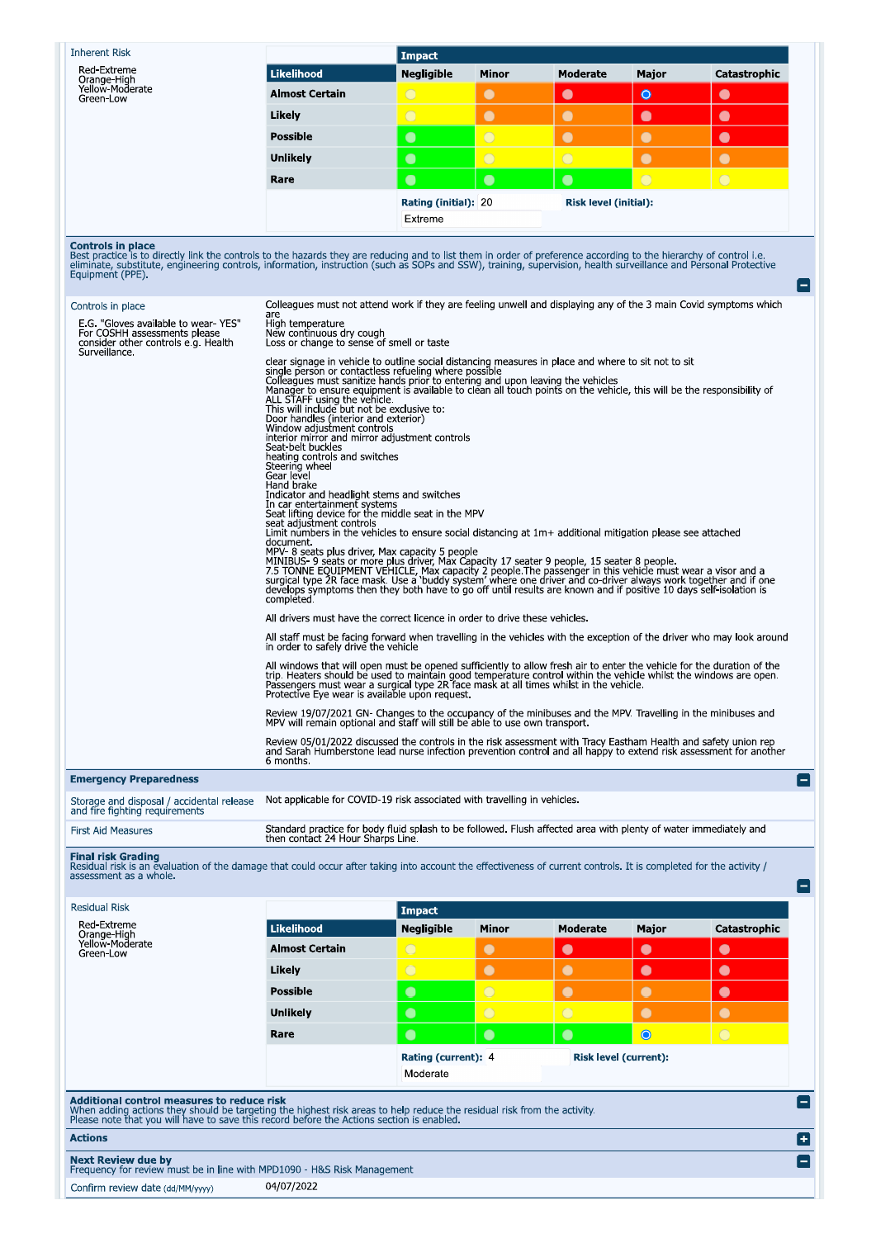| <b>Inherent Risk</b>                                                                                                                                                                                                                                                                                                                                                                                                                                                                                           |                                                                                                                                                                                                                                                                                                                                                                                                                                                                                                                                                                                                                                                                                                                                                                                                                                                                                                                                                                                                                                                                                                                                                                                                                                                                                                                                                                                                                                                                                      | <b>Impact</b>       |                |            |                       |              |  |
|----------------------------------------------------------------------------------------------------------------------------------------------------------------------------------------------------------------------------------------------------------------------------------------------------------------------------------------------------------------------------------------------------------------------------------------------------------------------------------------------------------------|--------------------------------------------------------------------------------------------------------------------------------------------------------------------------------------------------------------------------------------------------------------------------------------------------------------------------------------------------------------------------------------------------------------------------------------------------------------------------------------------------------------------------------------------------------------------------------------------------------------------------------------------------------------------------------------------------------------------------------------------------------------------------------------------------------------------------------------------------------------------------------------------------------------------------------------------------------------------------------------------------------------------------------------------------------------------------------------------------------------------------------------------------------------------------------------------------------------------------------------------------------------------------------------------------------------------------------------------------------------------------------------------------------------------------------------------------------------------------------------|---------------------|----------------|------------|-----------------------|--------------|--|
| Red-Extreme<br>Orange-High                                                                                                                                                                                                                                                                                                                                                                                                                                                                                     | <b>Likelihood</b>                                                                                                                                                                                                                                                                                                                                                                                                                                                                                                                                                                                                                                                                                                                                                                                                                                                                                                                                                                                                                                                                                                                                                                                                                                                                                                                                                                                                                                                                    | <b>Negligible</b>   | Minor          | Moderate   | Major                 | Catastrophic |  |
| Yellow-Moderate<br>Green-Low                                                                                                                                                                                                                                                                                                                                                                                                                                                                                   | <b>Almost Certain</b>                                                                                                                                                                                                                                                                                                                                                                                                                                                                                                                                                                                                                                                                                                                                                                                                                                                                                                                                                                                                                                                                                                                                                                                                                                                                                                                                                                                                                                                                | $\bigcirc$          | $\bullet$      | $\bullet$  | $\bullet$             | $\bullet$    |  |
|                                                                                                                                                                                                                                                                                                                                                                                                                                                                                                                | Likely                                                                                                                                                                                                                                                                                                                                                                                                                                                                                                                                                                                                                                                                                                                                                                                                                                                                                                                                                                                                                                                                                                                                                                                                                                                                                                                                                                                                                                                                               | $\bigcirc$          | $\bullet$      | $\bullet$  | $\bullet$             | $\bullet$    |  |
|                                                                                                                                                                                                                                                                                                                                                                                                                                                                                                                | <b>Possible</b>                                                                                                                                                                                                                                                                                                                                                                                                                                                                                                                                                                                                                                                                                                                                                                                                                                                                                                                                                                                                                                                                                                                                                                                                                                                                                                                                                                                                                                                                      | $\bullet$           | $\overline{O}$ | $\bullet$  | $\bullet$             | $\bullet$    |  |
|                                                                                                                                                                                                                                                                                                                                                                                                                                                                                                                | Unlikely                                                                                                                                                                                                                                                                                                                                                                                                                                                                                                                                                                                                                                                                                                                                                                                                                                                                                                                                                                                                                                                                                                                                                                                                                                                                                                                                                                                                                                                                             | $\bullet$           | $\overline{O}$ | $\bigcirc$ | $\bullet$             | $\bullet$    |  |
|                                                                                                                                                                                                                                                                                                                                                                                                                                                                                                                | Rare                                                                                                                                                                                                                                                                                                                                                                                                                                                                                                                                                                                                                                                                                                                                                                                                                                                                                                                                                                                                                                                                                                                                                                                                                                                                                                                                                                                                                                                                                 | $\bullet$           | $\bullet$      | $\bullet$  | $\bigcirc$            | $\bigcirc$   |  |
|                                                                                                                                                                                                                                                                                                                                                                                                                                                                                                                | <b>Rating (initial): 20</b><br><b>Risk level (initial):</b><br>Extreme                                                                                                                                                                                                                                                                                                                                                                                                                                                                                                                                                                                                                                                                                                                                                                                                                                                                                                                                                                                                                                                                                                                                                                                                                                                                                                                                                                                                               |                     |                |            |                       |              |  |
| Best practice is to directly link the controls to the hazards they are reducing and to list them in order of preference according to the hierarchy of control i.e.<br>eliminate, substitute, engineering controls, information, instruction (such as SOPs and SSW), training, supervision, health surveillance and Personal Protective<br>Equipment (PPE).<br>Controls in place<br>E.G. "Gloves available to wear-YES"<br>For COSHH assessments please<br>consider other controls e.g. Health<br>Surveillance. | Colleagues must not attend work if they are feeling unwell and displaying any of the 3 main Covid symptoms which<br>are<br>High temperature<br>New continuous dry cough<br>Loss or change to sense of smell or taste<br>clear signage in vehicle to outline social distancing measures in place and where to sit not to sit                                                                                                                                                                                                                                                                                                                                                                                                                                                                                                                                                                                                                                                                                                                                                                                                                                                                                                                                                                                                                                                                                                                                                          |                     |                |            |                       |              |  |
|                                                                                                                                                                                                                                                                                                                                                                                                                                                                                                                | single person or contactless refueling where possible<br>Colleagues must sanitize hands prior to entering and upon leaving the vehicles<br>Manager to ensure equipment is available to clean all touch points on the vehicle, this will be the responsibility of<br>ALL STAFF using the vehicle.<br>This will include but not be exclusive to:<br>Door handles (interior and exterior)<br>Window adjustment controls<br>interior mirror and mirror adjustment controls<br>Seat-belt buckles<br>heating controls and switches<br>Steering wheel<br>Gear level<br>Hand brake<br>Indicator and headlight stems and switches<br>In car entertainment systems<br>Seat lifting device for the middle seat in the MPV<br>seat adjustment controls<br>Limit numbers in the vehicles to ensure social distancing at $1m+$ additional mitigation please see attached<br>document.<br>MPV-8 seats plus driver, Max capacity 5 people<br>MINIBUS-9 seats or more plus driver, Max Capacity 17 seater 9 people, 15 seater 8 people.<br>7.5 TONNE EQUIPMENT VEHICLE, Max capacity 2 people. The passenger in this vehicle must wear a visor and a<br>surgical type 2R face mask. Use a 'buddy system' where one driver and co-driver always work together and if one<br>develops symptoms then they both have to go off until results are known and if positive 10 days self-isolation is<br>completed <sup>'</sup><br>All drivers must have the correct licence in order to drive these vehicles. |                     |                |            |                       |              |  |
|                                                                                                                                                                                                                                                                                                                                                                                                                                                                                                                | All staff must be facing forward when travelling in the vehicles with the exception of the driver who may look around<br>in order to safely drive the vehicle<br>All windows that will open must be opened sufficiently to allow fresh air to enter the vehicle for the duration of the<br>trip. Heaters should be used to maintain good temperature control within the vehicle whilst the windows are open.<br>Passengers must wear a surgical type 2R face mask at all times whilst in the vehicle.                                                                                                                                                                                                                                                                                                                                                                                                                                                                                                                                                                                                                                                                                                                                                                                                                                                                                                                                                                                |                     |                |            |                       |              |  |
|                                                                                                                                                                                                                                                                                                                                                                                                                                                                                                                | Protective Eye wear is available upon request.<br>Review 19/07/2021 GN- Changes to the occupancy of the minibuses and the MPV. Travelling in the minibuses and<br>MPV will remain optional and staff will still be able to use own transport.                                                                                                                                                                                                                                                                                                                                                                                                                                                                                                                                                                                                                                                                                                                                                                                                                                                                                                                                                                                                                                                                                                                                                                                                                                        |                     |                |            |                       |              |  |
|                                                                                                                                                                                                                                                                                                                                                                                                                                                                                                                | Review 05/01/2022 discussed the controls in the risk assessment with Tracy Eastham Health and safety union rep<br>and Sarah Humberstone lead nurse infection prevention control and all happy to extend risk assessment for another<br>6 months.                                                                                                                                                                                                                                                                                                                                                                                                                                                                                                                                                                                                                                                                                                                                                                                                                                                                                                                                                                                                                                                                                                                                                                                                                                     |                     |                |            |                       |              |  |
| <b>Emergency Preparedness</b>                                                                                                                                                                                                                                                                                                                                                                                                                                                                                  |                                                                                                                                                                                                                                                                                                                                                                                                                                                                                                                                                                                                                                                                                                                                                                                                                                                                                                                                                                                                                                                                                                                                                                                                                                                                                                                                                                                                                                                                                      |                     |                |            |                       |              |  |
| Storage and disposal / accidental release<br>and fire fighting reguirements                                                                                                                                                                                                                                                                                                                                                                                                                                    | Not applicable for COVID-19 risk associated with travelling in vehicles.                                                                                                                                                                                                                                                                                                                                                                                                                                                                                                                                                                                                                                                                                                                                                                                                                                                                                                                                                                                                                                                                                                                                                                                                                                                                                                                                                                                                             |                     |                |            |                       |              |  |
| <b>First Aid Measures</b>                                                                                                                                                                                                                                                                                                                                                                                                                                                                                      | Standard practice for body fluid splash to be followed. Flush affected area with plenty of water immediately and                                                                                                                                                                                                                                                                                                                                                                                                                                                                                                                                                                                                                                                                                                                                                                                                                                                                                                                                                                                                                                                                                                                                                                                                                                                                                                                                                                     |                     |                |            |                       |              |  |
|                                                                                                                                                                                                                                                                                                                                                                                                                                                                                                                | then contact 24 Hour Sharps Line.                                                                                                                                                                                                                                                                                                                                                                                                                                                                                                                                                                                                                                                                                                                                                                                                                                                                                                                                                                                                                                                                                                                                                                                                                                                                                                                                                                                                                                                    |                     |                |            |                       |              |  |
| <b>Final risk Grading</b><br>Residual risk is an evaluation of the damage that could occur after taking into account the effectiveness of current controls. It is completed for the activity /<br>assessment as a whole.                                                                                                                                                                                                                                                                                       |                                                                                                                                                                                                                                                                                                                                                                                                                                                                                                                                                                                                                                                                                                                                                                                                                                                                                                                                                                                                                                                                                                                                                                                                                                                                                                                                                                                                                                                                                      |                     |                |            |                       |              |  |
|                                                                                                                                                                                                                                                                                                                                                                                                                                                                                                                |                                                                                                                                                                                                                                                                                                                                                                                                                                                                                                                                                                                                                                                                                                                                                                                                                                                                                                                                                                                                                                                                                                                                                                                                                                                                                                                                                                                                                                                                                      |                     |                |            |                       |              |  |
| <b>Residual Risk</b>                                                                                                                                                                                                                                                                                                                                                                                                                                                                                           |                                                                                                                                                                                                                                                                                                                                                                                                                                                                                                                                                                                                                                                                                                                                                                                                                                                                                                                                                                                                                                                                                                                                                                                                                                                                                                                                                                                                                                                                                      | <b>Impact</b>       |                |            |                       |              |  |
| Red-Extreme<br>Orange-High<br>Yellow-Moderate                                                                                                                                                                                                                                                                                                                                                                                                                                                                  | <b>Likelihood</b>                                                                                                                                                                                                                                                                                                                                                                                                                                                                                                                                                                                                                                                                                                                                                                                                                                                                                                                                                                                                                                                                                                                                                                                                                                                                                                                                                                                                                                                                    | <b>Negligible</b>   | Minor          | Moderate   | Major                 | Catastrophic |  |
| Green-Low                                                                                                                                                                                                                                                                                                                                                                                                                                                                                                      | <b>Almost Certain</b>                                                                                                                                                                                                                                                                                                                                                                                                                                                                                                                                                                                                                                                                                                                                                                                                                                                                                                                                                                                                                                                                                                                                                                                                                                                                                                                                                                                                                                                                | $\bigcirc$          | $\bullet$      | $\bullet$  | $\bullet$             | $\bullet$    |  |
|                                                                                                                                                                                                                                                                                                                                                                                                                                                                                                                | Likely                                                                                                                                                                                                                                                                                                                                                                                                                                                                                                                                                                                                                                                                                                                                                                                                                                                                                                                                                                                                                                                                                                                                                                                                                                                                                                                                                                                                                                                                               | $\bigcirc$          | $\bullet$      | $\bullet$  | $\bullet$             | $\bullet$    |  |
|                                                                                                                                                                                                                                                                                                                                                                                                                                                                                                                | <b>Possible</b>                                                                                                                                                                                                                                                                                                                                                                                                                                                                                                                                                                                                                                                                                                                                                                                                                                                                                                                                                                                                                                                                                                                                                                                                                                                                                                                                                                                                                                                                      | $\bullet$           | $\overline{O}$ | $\bullet$  | $\bullet$             | $\bullet$    |  |
|                                                                                                                                                                                                                                                                                                                                                                                                                                                                                                                | <b>Unlikely</b>                                                                                                                                                                                                                                                                                                                                                                                                                                                                                                                                                                                                                                                                                                                                                                                                                                                                                                                                                                                                                                                                                                                                                                                                                                                                                                                                                                                                                                                                      | $\bullet$           | $\overline{O}$ | $\bigcirc$ | $\bullet$             | $\bullet$    |  |
|                                                                                                                                                                                                                                                                                                                                                                                                                                                                                                                |                                                                                                                                                                                                                                                                                                                                                                                                                                                                                                                                                                                                                                                                                                                                                                                                                                                                                                                                                                                                                                                                                                                                                                                                                                                                                                                                                                                                                                                                                      | $\bullet$           | $\bullet$      | $\bullet$  | $\bullet$             | $\bigcirc$   |  |
|                                                                                                                                                                                                                                                                                                                                                                                                                                                                                                                | Rare                                                                                                                                                                                                                                                                                                                                                                                                                                                                                                                                                                                                                                                                                                                                                                                                                                                                                                                                                                                                                                                                                                                                                                                                                                                                                                                                                                                                                                                                                 |                     |                |            |                       |              |  |
|                                                                                                                                                                                                                                                                                                                                                                                                                                                                                                                |                                                                                                                                                                                                                                                                                                                                                                                                                                                                                                                                                                                                                                                                                                                                                                                                                                                                                                                                                                                                                                                                                                                                                                                                                                                                                                                                                                                                                                                                                      | Rating (current): 4 |                |            | Risk level (current): |              |  |
| Additional control measures to reduce risk                                                                                                                                                                                                                                                                                                                                                                                                                                                                     |                                                                                                                                                                                                                                                                                                                                                                                                                                                                                                                                                                                                                                                                                                                                                                                                                                                                                                                                                                                                                                                                                                                                                                                                                                                                                                                                                                                                                                                                                      | Moderate            |                |            |                       |              |  |
| When adding actions they should be targeting the highest risk areas to help reduce the residual risk from the activity.<br>Please note that you will have to save this record before the Actions section is enabled.                                                                                                                                                                                                                                                                                           |                                                                                                                                                                                                                                                                                                                                                                                                                                                                                                                                                                                                                                                                                                                                                                                                                                                                                                                                                                                                                                                                                                                                                                                                                                                                                                                                                                                                                                                                                      |                     |                |            |                       |              |  |
| <b>Actions</b><br><b>Next Review due by</b>                                                                                                                                                                                                                                                                                                                                                                                                                                                                    |                                                                                                                                                                                                                                                                                                                                                                                                                                                                                                                                                                                                                                                                                                                                                                                                                                                                                                                                                                                                                                                                                                                                                                                                                                                                                                                                                                                                                                                                                      |                     |                |            |                       |              |  |